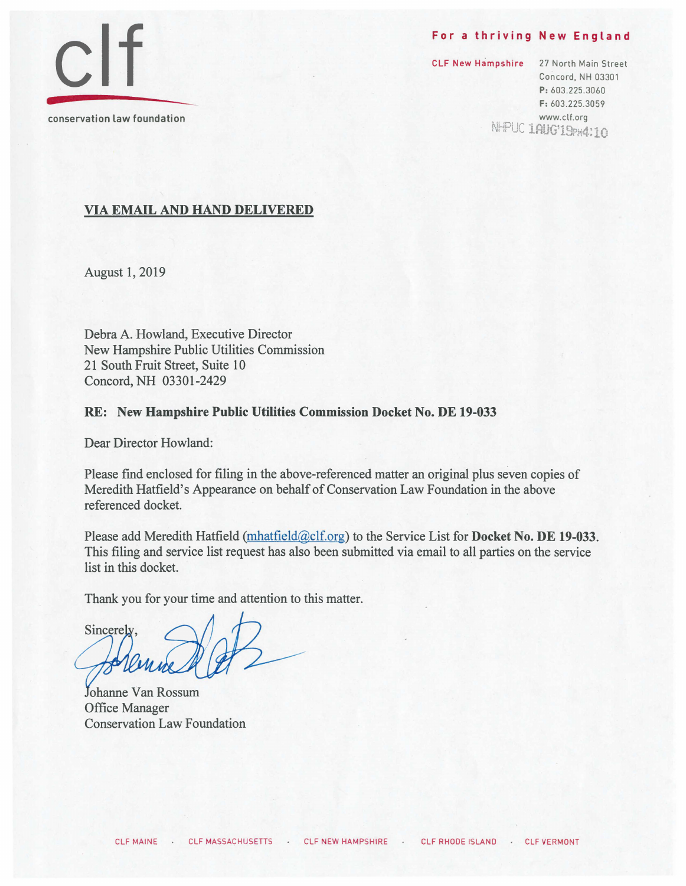#### For a thriving New England

**elf**  conservation law foundation

CLF New Hampshire 27 North Main Street Concord, NH 03301 P: 603.225.3060 F: 603.225.3059 www.clt.org<br>مستحققات الطالبان NHHUC 1AUG'19PH4:10

### VIA EMAIL AND HAND DELIVERED

August 1, 2019

Debra A. Howland, Executive Director New Hampshire Public Utilities Commission 21 South Fruit Street, Suite 10 Concord, NH 03301-2429

### RE: New Hampshire Public Utilities Commission Docket No. DE 19-033

Dear Director Howland:

Please find enclosed for filing in the above-referenced matter an original plus seven copies of Meredith Hatfield's Appearance on behalf of Conservation Law Foundation in the above referenced docket.

Please add Meredith Hatfield (mhatfield (a)clf.org) to the Service List for **Docket No. DE 19-033**. This filing and service list request has also been submitted via email to all parties on the service list in this docket.

Thank you for your time and attention to this matter.

Sincerely

Johanne Van Rossum Office Manager Conservation Law Foundation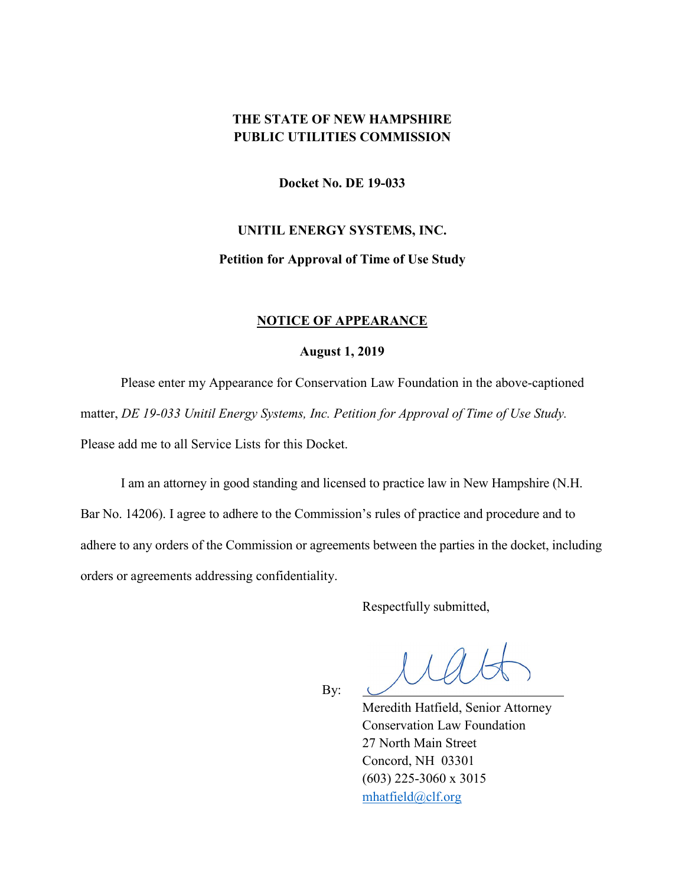## **THE STATE OF NEW HAMPSHIRE PUBLIC UTILITIES COMMISSION**

**Docket No. DE 19-033**

# **UNITIL ENERGY SYSTEMS, INC. Petition for Approval of Time of Use Study**

### **NOTICE OF APPEARANCE**

### **August 1, 2019**

Please enter my Appearance for Conservation Law Foundation in the above-captioned matter, *DE 19-033 Unitil Energy Systems, Inc. Petition for Approval of Time of Use Study.*  Please add me to all Service Lists for this Docket.

I am an attorney in good standing and licensed to practice law in New Hampshire (N.H. Bar No. 14206). I agree to adhere to the Commission's rules of practice and procedure and to adhere to any orders of the Commission or agreements between the parties in the docket, including orders or agreements addressing confidentiality.

Respectfully submitted,

 $l\mathcal{A}d\mathcal{B}$ 

By:

 Meredith Hatfield, Senior Attorney Conservation Law Foundation 27 North Main Street Concord, NH 03301 (603) 225-3060 x 3015 [mhatfield@clf.org](mailto:mhatfield@clf.org)